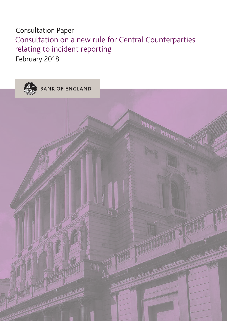## Consultation Paper Consultation on a new rule for Central Counterparties relating to incident reporting February 2018

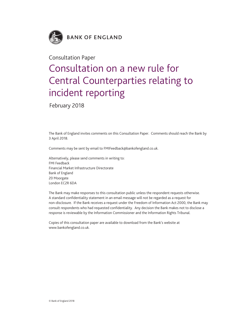

### Consultation Paper

# Consultation on a new rule for Central Counterparties relating to incident reporting

February 2018

The Bank of England invites comments on this Consultation Paper. Comments should reach the Bank by 3 April 2018.

Comments may be sent by email to FMIFeedback@bankofengland.co.uk.

Alternatively, please send comments in writing to: FMI Feedback Financial Market Infrastructure Directorate Bank of England 20 Moorgate London EC2R 6DA

The Bank may make responses to this consultation public unless the respondent requests otherwise. A standard confidentiality statement in an email message will not be regarded as a request for non-disclosure. If the Bank receives a request under the Freedom of Information Act 2000, the Bank may consult respondents who had requested confidentiality. Any decision the Bank makes not to disclose a response is reviewable by the Information Commissioner and the Information Rights Tribunal.

Copies of this consultation paper are available to download from the Bank's website at [www.bankofengland.co.uk.](www.bankofengland.co.uk)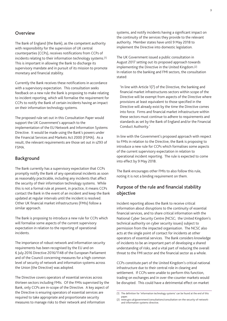#### **Overview**

The Bank of England (the Bank), as the competent authority with responsibility for the supervision of UK central counterparties (CCPs), receives notifications from CCPs of incidents relating to their information technology systems.(1) This is important in allowing the Bank to discharge its supervisory mandate and in pursuit of its mission to promote monetary and financial stability.

Currently the Bank receives these notifications in accordance with a supervisory expectation. This consultation seeks feedback on a new rule the Bank is proposing to make relating to incident reporting, which will formalise the requirement for CCPs to notify the Bank of certain incidents having an impact on their information technology systems.

The proposed rule set out in this Consultation Paper would support the UK Government's approach to the implementation of the EU Network and Information Systems Directive. It would be made using the Bank's powers under the Financial Services and Markets Act 2000 (FSMA). As a result, the relevant requirements are those set out in s293 of FSMA.

#### **Background**

The Bank currently has a supervisory expectation that CCPs promptly notify the Bank of any operational incidents as soon as reasonably practicable, including any incidents that affect the security of their information technology systems. While this is not a formal rule at present, in practice, it means CCPs contact the Bank in the event of an incident and keep the Bank updated at regular intervals until the incident is resolved. Other UK financial market infrastructures (FMIs) follow a similar approach.

The Bank is proposing to introduce a new rule for CCPs which will formalise some aspects of the current supervisory expectation in relation to the reporting of operational incidents.

The importance of robust network and information security requirements has been recognised by the EU and on 6 July 2016 Directive 2016/1148 of the European Parliament and of the Council concerning measures for a high common level of security of network and information systems across the Union (the Directive) was adopted.

The Directive covers operators of essential services across thirteen sectors including FMIs. Of the FMIs supervised by the Bank, only CCPs are in-scope of the Directive. A key aspect of the Directive is ensuring operators of essential services are required to take appropriate and proportionate security measures to manage risks to their network and information

systems, and notify incidents having a significant impact on the continuity of the services they provide to the relevant authority. Member states have until 9 May 2018 to implement the Directive into domestic legislation.

The UK Government issued a public consultation in August 2017 setting out its proposed approach towards implementing the Directive in the United Kingdom.(2) In relation to the banking and FMI sectors, the consultation stated:

'In line with Article 1(7) of the Directive, the banking and financial market infrastructures sectors within scope of the Directive will be exempt from aspects of the Directive where provisions at least equivalent to those specified in the Directive will already exist by the time the Directive comes into force. Firms and financial market infrastructure within these sectors must continue to adhere to requirements and standards as set by the Bank of England and/or the Financial Conduct Authority.'

In line with the Government's proposed approach with respect to FMIs in relation to the Directive, the Bank is proposing to introduce a new rule for CCPs which formalises some aspects of the current supervisory expectation in relation to operational incident reporting. The rule is expected to come into effect by 9 May 2018.

The Bank encourages other FMIs to also follow this rule, noting it is not a binding requirement on them.

#### **Purpose of the rule and financial stability objective**

Incident reporting allows the Bank to receive critical information about disruptions to the continuity of essential financial services, and to share critical information with the National Cyber Security Centre (NCSC; the United Kingdom's technical authority on cyber security issues) subject to permission from the impacted organisation. The NCSC also acts at the single point of contact for incidents at other operators of essential services. The Bank considers knowledge of incidents to be an important part of developing a shared understanding of risks, and a vital part of reducing the overall threat to the FMI sector and the financial sector as a whole.

CCPs constitute part of the United Kingdom's critical national infrastructure due to their central role in clearing and settlement. If CCPs were unable to perform this function, trading on exchanges and in over-the-counter markets would be disrupted. This could have a detrimental effect on market

<sup>(1)</sup> The definition for 'information technology systems' can be found at the end of this

paper. (2) [www.gov.uk/government/consultations/consultation-on-the-security-of-network](www.gov.uk/government/consultations/consultation-on-the-security-of-network-and-information-systems-directive)[and-information-systems-directive.](www.gov.uk/government/consultations/consultation-on-the-security-of-network-and-information-systems-directive)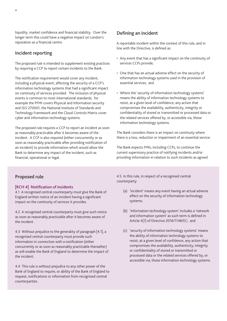liquidity, market confidence and financial stability. Over the longer term this could have a negative impact on London's reputation as a financial centre.

#### **Incident reporting**

The proposed rule is intended to supplement existing practices by requiring a CCP to report certain incidents to the Bank.

The notification requirement would cover any incident, including a physical event, affecting the security of a CCP's information technology systems that had a significant impact on continuity of services provided. The inclusion of physical events is common to most international standards; for example the PFMI covers Physical and Information security and ISO 270001, the National Institute of Standards and Technology Framework and the Cloud Controls Matrix cover cyber and information technology systems.

The proposed rule requires a CCP to report an incident as soon as reasonably practicable after it becomes aware of the incident. A CCP is also required (either concurrently or as soon as reasonably practicable after providing notification of an incident) to provide information which would allow the Bank to determine any impact of the incident, such as financial, operational or legal.

#### **Defining an incident**

A reportable incident within the context of this rule, and in line with the Directive, is defined as:

- Any event that has a significant impact on the continuity of services CCPs provide;
- One that has an actual adverse effect on the security of information technology systems used in the provision of essential services; and
- Where the 'security of information technology systems' means the ability of information technology systems to resist, at a given level of confidence, any action that compromises the availability, authenticity, integrity or confidentiality of stored or transmitted or processed data or the related services offered by, or accessible via, those information technology systems.

The Bank considers there is an impact on continuity where there is a loss, reduction or impairment of an essential service.

The Bank expects FMIs, including CCPs, to continue the current supervisory practice of notifying incidents and/or providing information in relation to such incidents as agreed

#### **Proposed rule**

#### **[RCH 4] Notification of incidents**

4.1 A recognised central counterparty must give the Bank of England written notice of an incident having a significant impact on the continuity of services it provides.

4.2 A recognised central counterparty must give such notice as soon as reasonably practicable after it becomes aware of the incident.

4.3 Without prejudice to the generality of paragraph [4.1], a recognised central counterparty must provide such information in connection with a notification (either concurrently or as soon as reasonably practicable thereafter) as will enable the Bank of England to determine the impact of the incident.

4.4 This rule is without prejudice to any other power of the Bank of England to require, or ability of the Bank of England to request, notifications or information from recognised central counterparties.

4.5 In this rule, in respect of a recognised central counterparty:

- (a) 'incident' means any event having an actual adverse effect on the security of information technology systems;
- (b) 'information technology system' includes a 'network and information system' as such term is defined in Article 4(1) of Directive 2016/1148/EC; and
- (c) 'security of information technology systems' means the ability of information technology systems to resist, at a given level of confidence, any action that compromises the availability, authenticity, integrity or confidentiality of stored or transmitted or processed data or the related services offered by, or accessible via, those information technology systems.